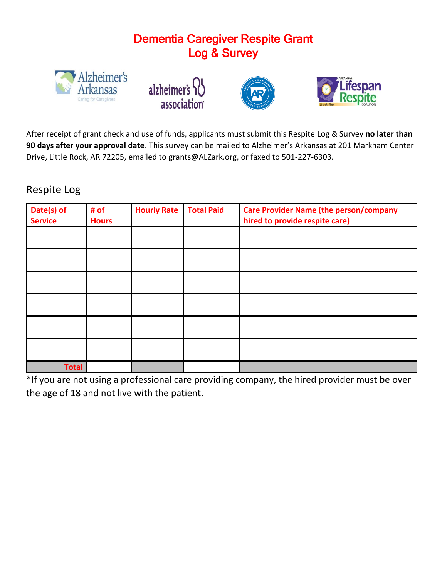## Dementia Caregiver Respite Grant Log & Survey









After receipt of grant check and use of funds, applicants must submit this Respite Log & Survey **no later than 90 days after your approval date**. This survey can be mailed to Alzheimer's Arkansas at 201 Markham Center Drive, Little Rock, AR 72205, emailed to grants@ALZark.org, or faxed to 501-227-6303.

## Respite Log

| Date(s) of<br><b>Service</b> | # of<br><b>Hours</b> | <b>Hourly Rate</b> | <b>Total Paid</b> | <b>Care Provider Name (the person/company</b><br>hired to provide respite care) |
|------------------------------|----------------------|--------------------|-------------------|---------------------------------------------------------------------------------|
|                              |                      |                    |                   |                                                                                 |
|                              |                      |                    |                   |                                                                                 |
|                              |                      |                    |                   |                                                                                 |
|                              |                      |                    |                   |                                                                                 |
|                              |                      |                    |                   |                                                                                 |
|                              |                      |                    |                   |                                                                                 |
| <b>Total</b>                 |                      |                    |                   |                                                                                 |

\*If you are not using a professional care providing company, the hired provider must be over the age of 18 and not live with the patient.